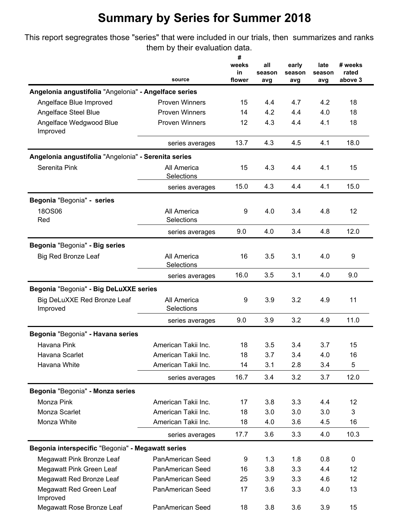This report segregrates those "series" that were included in our trials, then summarizes and ranks them by their evaluation data.

|                                                       | source                           | #<br>weeks<br>in<br>flower | all<br>season<br>avg | early<br>season<br>avg | late<br>season<br>avg | # weeks<br>rated<br>above 3 |
|-------------------------------------------------------|----------------------------------|----------------------------|----------------------|------------------------|-----------------------|-----------------------------|
| Angelonia angustifolia "Angelonia" - Angelface series |                                  |                            |                      |                        |                       |                             |
| Angelface Blue Improved                               | <b>Proven Winners</b>            | 15                         | 4.4                  | 4.7                    | 4.2                   | 18                          |
| Angelface Steel Blue                                  | <b>Proven Winners</b>            | 14                         | 4.2                  | 4.4                    | 4.0                   | 18                          |
| Angelface Wedgwood Blue<br>Improved                   | <b>Proven Winners</b>            | 12                         | 4.3                  | 4.4                    | 4.1                   | 18                          |
|                                                       | series averages                  | 13.7                       | 4.3                  | 4.5                    | 4.1                   | 18.0                        |
| Angelonia angustifolia "Angelonia" - Serenita series  |                                  |                            |                      |                        |                       |                             |
| Serenita Pink                                         | All America<br>Selections        | 15                         | 4.3                  | 4.4                    | 4.1                   | 15                          |
|                                                       | series averages                  | 15.0                       | 4.3                  | 4.4                    | 4.1                   | 15.0                        |
| Begonia "Begonia" - series                            |                                  |                            |                      |                        |                       |                             |
| <b>18OS06</b><br>Red                                  | All America<br><b>Selections</b> | 9                          | 4.0                  | 3.4                    | 4.8                   | 12                          |
|                                                       | series averages                  | 9.0                        | 4.0                  | 3.4                    | 4.8                   | 12.0                        |
| Begonia "Begonia" - Big series                        |                                  |                            |                      |                        |                       |                             |
| <b>Big Red Bronze Leaf</b>                            | All America<br>Selections        | 16                         | 3.5                  | 3.1                    | 4.0                   | 9                           |
|                                                       | series averages                  | 16.0                       | 3.5                  | 3.1                    | 4.0                   | 9.0                         |
| Begonia "Begonia" - Big DeLuXXE series                |                                  |                            |                      |                        |                       |                             |
| Big DeLuXXE Red Bronze Leaf<br>Improved               | All America<br><b>Selections</b> | 9                          | 3.9                  | 3.2                    | 4.9                   | 11                          |
|                                                       | series averages                  | 9.0                        | 3.9                  | 3.2                    | 4.9                   | 11.0                        |
| Begonia "Begonia" - Havana series                     |                                  |                            |                      |                        |                       |                             |
| Havana Pink                                           | American Takii Inc.              | 18                         | 3.5                  | 3.4                    | 3.7                   | 15                          |
| Havana Scarlet                                        | American Takii Inc.              | 18                         | 3.7                  | 3.4                    | 4.0                   | 16                          |
| Havana White                                          | American Takii Inc.              | 14                         | 3.1                  | 2.8                    | 3.4                   | 5                           |
|                                                       | series averages                  | 16.7                       | 3.4                  | 3.2                    | 3.7                   | 12.0                        |
| Begonia "Begonia" - Monza series                      |                                  |                            |                      |                        |                       |                             |
| Monza Pink                                            | American Takii Inc.              | 17                         | 3.8                  | 3.3                    | 4.4                   | 12                          |
| Monza Scarlet                                         | American Takii Inc.              | 18                         | 3.0                  | 3.0                    | 3.0                   | 3                           |
| Monza White                                           | American Takii Inc.              | 18                         | 4.0                  | 3.6                    | 4.5                   | 16                          |
|                                                       | series averages                  | 17.7                       | 3.6                  | 3.3                    | 4.0                   | 10.3                        |
| Begonia interspecific "Begonia" - Megawatt series     |                                  |                            |                      |                        |                       |                             |
| Megawatt Pink Bronze Leaf                             | PanAmerican Seed                 | 9                          | 1.3                  | 1.8                    | 0.8                   | 0                           |
| Megawatt Pink Green Leaf                              | PanAmerican Seed                 | 16                         | 3.8                  | 3.3                    | 4.4                   | 12                          |
| Megawatt Red Bronze Leaf                              | PanAmerican Seed                 | 25                         | 3.9                  | 3.3                    | 4.6                   | 12                          |
| Megawatt Red Green Leaf<br>Improved                   | PanAmerican Seed                 | 17                         | 3.6                  | 3.3                    | 4.0                   | 13                          |
| Megawatt Rose Bronze Leaf                             | PanAmerican Seed                 | 18                         | 3.8                  | 3.6                    | 3.9                   | 15                          |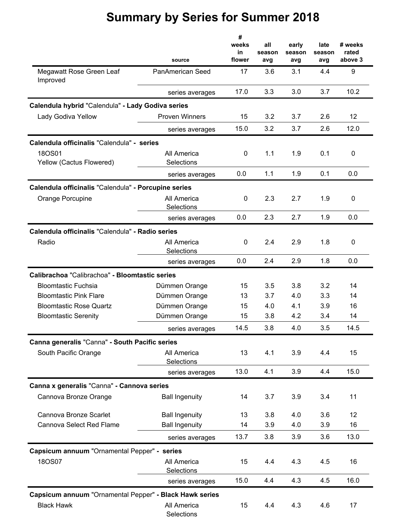|                                                         |                         | #<br>weeks   | all           | early         | late          | # weeks          |
|---------------------------------------------------------|-------------------------|--------------|---------------|---------------|---------------|------------------|
|                                                         | source                  | in<br>flower | season<br>avg | season<br>avg | season<br>avg | rated<br>above 3 |
| Megawatt Rose Green Leaf<br>Improved                    | <b>PanAmerican Seed</b> | 17           | 3.6           | 3.1           | 4.4           | 9                |
|                                                         | series averages         | 17.0         | 3.3           | 3.0           | 3.7           | 10.2             |
| Calendula hybrid "Calendula" - Lady Godiva series       |                         |              |               |               |               |                  |
| Lady Godiva Yellow                                      | <b>Proven Winners</b>   | 15           | 3.2           | 3.7           | 2.6           | 12               |
|                                                         | series averages         | 15.0         | 3.2           | 3.7           | 2.6           | 12.0             |
| Calendula officinalis "Calendula" - series              |                         |              |               |               |               |                  |
| 18OS01                                                  | All America             | 0            | 1.1           | 1.9           | 0.1           | 0                |
| Yellow (Cactus Flowered)                                | Selections              |              |               |               |               |                  |
|                                                         | series averages         | 0.0          | 1.1           | 1.9           | 0.1           | 0.0              |
| Calendula officinalis "Calendula" - Porcupine series    |                         |              |               |               |               |                  |
| Orange Porcupine                                        | All America             | 0            | 2.3           | 2.7           | 1.9           | 0                |
|                                                         | Selections              |              |               |               |               |                  |
|                                                         | series averages         | 0.0          | 2.3           | 2.7           | 1.9           | 0.0              |
| Calendula officinalis "Calendula" - Radio series        |                         |              |               |               |               |                  |
| Radio                                                   | All America             | 0            | 2.4           | 2.9           | 1.8           | 0                |
|                                                         | Selections              |              |               |               |               |                  |
|                                                         | series averages         | 0.0          | 2.4           | 2.9           | 1.8           | 0.0              |
| Calibrachoa "Calibrachoa" - Bloomtastic series          |                         |              |               |               |               |                  |
| <b>Bloomtastic Fuchsia</b>                              | Dümmen Orange           | 15           | 3.5           | 3.8           | 3.2           | 14               |
| <b>Bloomtastic Pink Flare</b>                           | Dümmen Orange           | 13           | 3.7           | 4.0           | 3.3           | 14               |
| <b>Bloomtastic Rose Quartz</b>                          | Dümmen Orange           | 15           | 4.0           | 4.1           | 3.9           | 16               |
| <b>Bloomtastic Serenity</b>                             | Dümmen Orange           | 15           | 3.8           | 4.2           | 3.4           | 14               |
|                                                         | series averages         | 14.5         | 3.8           | 4.0           | 3.5           | 14.5             |
| Canna generalis "Canna" - South Pacific series          |                         |              |               |               |               |                  |
| South Pacific Orange                                    | All America             | 13           | 4.1           | 3.9           | 4.4           | 15               |
|                                                         | Selections              |              |               |               |               |                  |
|                                                         | series averages         | 13.0         | 4.1           | 3.9           | 4.4           | 15.0             |
| Canna x generalis "Canna" - Cannova series              |                         |              |               |               |               |                  |
| Cannova Bronze Orange                                   | <b>Ball Ingenuity</b>   | 14           | 3.7           | 3.9           | 3.4           | 11               |
| Cannova Bronze Scarlet                                  | <b>Ball Ingenuity</b>   | 13           | 3.8           | 4.0           | 3.6           | 12               |
| Cannova Select Red Flame                                | <b>Ball Ingenuity</b>   | 14           | 3.9           | 4.0           | 3.9           | 16               |
|                                                         | series averages         | 13.7         | 3.8           | 3.9           | 3.6           | 13.0             |
|                                                         |                         |              |               |               |               |                  |
| Capsicum annuum "Ornamental Pepper" - series<br>18OS07  | All America             | 15           | 4.4           | 4.3           | 4.5           | 16               |
|                                                         | Selections              |              |               |               |               |                  |
|                                                         | series averages         | 15.0         | 4.4           | 4.3           | 4.5           | 16.0             |
| Capsicum annuum "Ornamental Pepper" - Black Hawk series |                         |              |               |               |               |                  |
| <b>Black Hawk</b>                                       | All America             | 15           | 4.4           | 4.3           | 4.6           | 17               |
|                                                         | Selections              |              |               |               |               |                  |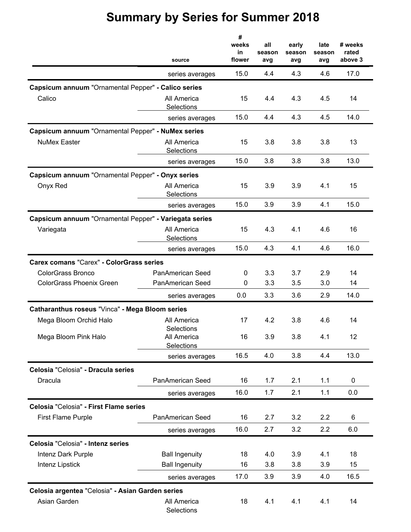|                                                        | source                                  | #<br>weeks<br>in<br>flower | all<br>season<br>avg | early<br>season<br>avg | late<br>season<br>avg | # weeks<br>rated<br>above 3 |
|--------------------------------------------------------|-----------------------------------------|----------------------------|----------------------|------------------------|-----------------------|-----------------------------|
|                                                        | series averages                         | 15.0                       | 4.4                  | 4.3                    | 4.6                   | 17.0                        |
| Capsicum annuum "Ornamental Pepper" - Calico series    |                                         |                            |                      |                        |                       |                             |
| Calico                                                 | All America<br>Selections               | 15                         | 4.4                  | 4.3                    | 4.5                   | 14                          |
|                                                        | series averages                         | 15.0                       | 4.4                  | 4.3                    | 4.5                   | 14.0                        |
| Capsicum annuum "Ornamental Pepper" - NuMex series     |                                         |                            |                      |                        |                       |                             |
| <b>NuMex Easter</b>                                    | All America<br>Selections               | 15                         | 3.8                  | 3.8                    | 3.8                   | 13                          |
|                                                        | series averages                         | 15.0                       | 3.8                  | 3.8                    | 3.8                   | 13.0                        |
| Capsicum annuum "Ornamental Pepper" - Onyx series      |                                         |                            |                      |                        |                       |                             |
| Onyx Red                                               | All America<br>Selections               | 15                         | 3.9                  | 3.9                    | 4.1                   | 15                          |
|                                                        | series averages                         | 15.0                       | 3.9                  | 3.9                    | 4.1                   | 15.0                        |
| Capsicum annuum "Ornamental Pepper" - Variegata series |                                         |                            |                      |                        |                       |                             |
| Variegata                                              | All America<br>Selections               | 15                         | 4.3                  | 4.1                    | 4.6                   | 16                          |
|                                                        | series averages                         | 15.0                       | 4.3                  | 4.1                    | 4.6                   | 16.0                        |
| <b>Carex comans "Carex" - ColorGrass series</b>        |                                         |                            |                      |                        |                       |                             |
| ColorGrass Bronco                                      | PanAmerican Seed                        | 0                          | 3.3                  | 3.7                    | 2.9                   | 14                          |
| <b>ColorGrass Phoenix Green</b>                        | PanAmerican Seed                        | 0                          | 3.3                  | 3.5                    | 3.0                   | 14                          |
|                                                        | series averages                         | 0.0                        | 3.3                  | 3.6                    | 2.9                   | 14.0                        |
| Catharanthus roseus "Vinca" - Mega Bloom series        |                                         |                            |                      |                        |                       |                             |
| Mega Bloom Orchid Halo                                 | All America                             | 17                         | 4.2                  | 3.8                    | 4.6                   | 14                          |
| Mega Bloom Pink Halo                                   | Selections<br>All America<br>Selections | 16                         | 3.9                  | 3.8                    | 4.1                   | 12                          |
|                                                        | series averages                         | 16.5                       | 4.0                  | 3.8                    | 4.4                   | 13.0                        |
| Celosia "Celosia" - Dracula series                     |                                         |                            |                      |                        |                       |                             |
| Dracula                                                | PanAmerican Seed                        | 16                         | 1.7                  | 2.1                    | 1.1                   | 0                           |
|                                                        | series averages                         | 16.0                       | 1.7                  | 2.1                    | 1.1                   | 0.0                         |
| Celosia "Celosia" - First Flame series                 |                                         |                            |                      |                        |                       |                             |
| <b>First Flame Purple</b>                              | PanAmerican Seed                        | 16                         | 2.7                  | 3.2                    | 2.2                   | 6                           |
|                                                        | series averages                         | 16.0                       | 2.7                  | 3.2                    | 2.2                   | 6.0                         |
| Celosia "Celosia" - Intenz series                      |                                         |                            |                      |                        |                       |                             |
| Intenz Dark Purple                                     | <b>Ball Ingenuity</b>                   | 18                         | 4.0                  | 3.9                    | 4.1                   | 18                          |
| Intenz Lipstick                                        | <b>Ball Ingenuity</b>                   | 16                         | 3.8                  | 3.8                    | 3.9                   | 15                          |
|                                                        | series averages                         | 17.0                       | 3.9                  | 3.9                    | 4.0                   | 16.5                        |
| Celosia argentea "Celosia" - Asian Garden series       |                                         |                            |                      |                        |                       |                             |
| Asian Garden                                           | All America<br>Selections               | 18                         | 4.1                  | 4.1                    | 4.1                   | 14                          |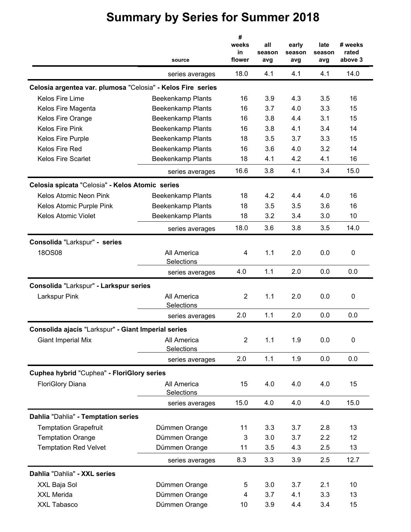|                                                             | source                    | #<br>weeks<br>in<br>flower | all<br>season<br>avg | early<br>season<br>avg | late<br>season<br>avg | # weeks<br>rated<br>above 3 |
|-------------------------------------------------------------|---------------------------|----------------------------|----------------------|------------------------|-----------------------|-----------------------------|
|                                                             | series averages           | 18.0                       | 4.1                  | 4.1                    | 4.1                   | 14.0                        |
| Celosia argentea var. plumosa "Celosia" - Kelos Fire series |                           |                            |                      |                        |                       |                             |
| Kelos Fire Lime                                             | <b>Beekenkamp Plants</b>  | 16                         | 3.9                  | 4.3                    | 3.5                   | 16                          |
| Kelos Fire Magenta                                          | <b>Beekenkamp Plants</b>  | 16                         | 3.7                  | 4.0                    | 3.3                   | 15                          |
| Kelos Fire Orange                                           | <b>Beekenkamp Plants</b>  | 16                         | 3.8                  | 4.4                    | 3.1                   | 15                          |
| Kelos Fire Pink                                             | <b>Beekenkamp Plants</b>  | 16                         | 3.8                  | 4.1                    | 3.4                   | 14                          |
| Kelos Fire Purple                                           | <b>Beekenkamp Plants</b>  | 18                         | 3.5                  | 3.7                    | 3.3                   | 15                          |
| Kelos Fire Red                                              | <b>Beekenkamp Plants</b>  | 16                         | 3.6                  | 4.0                    | 3.2                   | 14                          |
| <b>Kelos Fire Scarlet</b>                                   | <b>Beekenkamp Plants</b>  | 18                         | 4.1                  | 4.2                    | 4.1                   | 16                          |
|                                                             | series averages           | 16.6                       | 3.8                  | 4.1                    | 3.4                   | 15.0                        |
| Celosia spicata "Celosia" - Kelos Atomic series             |                           |                            |                      |                        |                       |                             |
| Kelos Atomic Neon Pink                                      | <b>Beekenkamp Plants</b>  | 18                         | 4.2                  | 4.4                    | 4.0                   | 16                          |
| Kelos Atomic Purple Pink                                    | <b>Beekenkamp Plants</b>  | 18                         | 3.5                  | 3.5                    | 3.6                   | 16                          |
| Kelos Atomic Violet                                         | <b>Beekenkamp Plants</b>  | 18                         | 3.2                  | 3.4                    | 3.0                   | 10                          |
|                                                             | series averages           | 18.0                       | 3.6                  | 3.8                    | 3.5                   | 14.0                        |
| Consolida "Larkspur" - series                               |                           |                            |                      |                        |                       |                             |
| <b>18OS08</b>                                               | All America<br>Selections | 4                          | 1.1                  | 2.0                    | 0.0                   | $\pmb{0}$                   |
|                                                             | series averages           | 4.0                        | 1.1                  | 2.0                    | 0.0                   | 0.0                         |
| Consolida "Larkspur" - Larkspur series                      |                           |                            |                      |                        |                       |                             |
| Larkspur Pink                                               | All America<br>Selections | $\overline{2}$             | 1.1                  | 2.0                    | 0.0                   | 0                           |
|                                                             | series averages           | 2.0                        | 1.1                  | 2.0                    | 0.0                   | 0.0                         |
| Consolida ajacis "Larkspur" - Giant Imperial series         |                           |                            |                      |                        |                       |                             |
| <b>Giant Imperial Mix</b>                                   | All America<br>Selections | $\overline{2}$             | 1.1                  | 1.9                    | 0.0                   | $\pmb{0}$                   |
|                                                             | series averages           | 2.0                        | 1.1                  | 1.9                    | 0.0                   | 0.0                         |
| Cuphea hybrid "Cuphea" - FloriGlory series                  |                           |                            |                      |                        |                       |                             |
| <b>FloriGlory Diana</b>                                     | All America<br>Selections | 15                         | 4.0                  | 4.0                    | 4.0                   | 15                          |
|                                                             | series averages           | 15.0                       | 4.0                  | 4.0                    | 4.0                   | 15.0                        |
| Dahlia "Dahlia" - Temptation series                         |                           |                            |                      |                        |                       |                             |
| <b>Temptation Grapefruit</b>                                | Dümmen Orange             | 11                         | 3.3                  | 3.7                    | 2.8                   | 13                          |
| <b>Temptation Orange</b>                                    | Dümmen Orange             | 3                          | 3.0                  | 3.7                    | 2.2                   | 12                          |
| <b>Temptation Red Velvet</b>                                | Dümmen Orange             | 11                         | 3.5                  | 4.3                    | 2.5                   | 13                          |
|                                                             | series averages           | 8.3                        | 3.3                  | 3.9                    | 2.5                   | 12.7                        |
| Dahlia "Dahlia" - XXL series                                |                           |                            |                      |                        |                       |                             |
| XXL Baja Sol                                                | Dümmen Orange             | 5                          | 3.0                  | 3.7                    | 2.1                   | 10                          |
| <b>XXL Merida</b>                                           | Dümmen Orange             | 4                          | 3.7                  | 4.1                    | 3.3                   | 13                          |
| XXL Tabasco                                                 | Dümmen Orange             | 10                         | 3.9                  | 4.4                    | 3.4                   | 15                          |
|                                                             |                           |                            |                      |                        |                       |                             |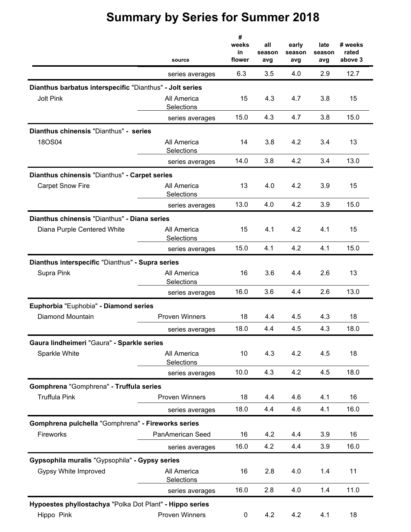|                                                          | source                    | #<br>weeks<br>in<br>flower | all<br>season<br>avg | early<br>season<br>avg | late<br>season<br>avg | # weeks<br>rated<br>above 3 |
|----------------------------------------------------------|---------------------------|----------------------------|----------------------|------------------------|-----------------------|-----------------------------|
|                                                          | series averages           | 6.3                        | 3.5                  | 4.0                    | 2.9                   | 12.7                        |
| Dianthus barbatus interspecific "Dianthus" - Jolt series |                           |                            |                      |                        |                       |                             |
| <b>Jolt Pink</b>                                         | All America<br>Selections | 15                         | 4.3                  | 4.7                    | 3.8                   | 15                          |
|                                                          | series averages           | 15.0                       | 4.3                  | 4.7                    | 3.8                   | 15.0                        |
| Dianthus chinensis "Dianthus" - series                   |                           |                            |                      |                        |                       |                             |
| 18OS04                                                   | All America<br>Selections | 14                         | 3.8                  | 4.2                    | 3.4                   | 13                          |
|                                                          | series averages           | 14.0                       | 3.8                  | 4.2                    | 3.4                   | 13.0                        |
| Dianthus chinensis "Dianthus" - Carpet series            |                           |                            |                      |                        |                       |                             |
| <b>Carpet Snow Fire</b>                                  | All America<br>Selections | 13                         | 4.0                  | 4.2                    | 3.9                   | 15                          |
|                                                          | series averages           | 13.0                       | 4.0                  | 4.2                    | 3.9                   | 15.0                        |
| Dianthus chinensis "Dianthus" - Diana series             |                           |                            |                      |                        |                       |                             |
| Diana Purple Centered White                              | All America<br>Selections | 15                         | 4.1                  | 4.2                    | 4.1                   | 15                          |
|                                                          | series averages           | 15.0                       | 4.1                  | 4.2                    | 4.1                   | 15.0                        |
| Dianthus interspecific "Dianthus" - Supra series         |                           |                            |                      |                        |                       |                             |
| Supra Pink                                               | All America<br>Selections | 16                         | 3.6                  | 4.4                    | 2.6                   | 13                          |
|                                                          | series averages           | 16.0                       | 3.6                  | 4.4                    | 2.6                   | 13.0                        |
| Euphorbia "Euphobia" - Diamond series                    |                           |                            |                      |                        |                       |                             |
| Diamond Mountain                                         | <b>Proven Winners</b>     | 18                         | 4.4                  | 4.5                    | 4.3                   | 18                          |
|                                                          | series averages           | 18.0                       | 4.4                  | 4.5                    | 4.3                   | 18.0                        |
| Gaura lindheimeri "Gaura" - Sparkle series               |                           |                            |                      |                        |                       |                             |
| Sparkle White                                            | All America<br>Selections | 10                         | 4.3                  | 4.2                    | 4.5                   | 18                          |
|                                                          | series averages           | 10.0                       | 4.3                  | 4.2                    | 4.5                   | 18.0                        |
| Gomphrena "Gomphrena" - Truffula series                  |                           |                            |                      |                        |                       |                             |
| <b>Truffula Pink</b>                                     | <b>Proven Winners</b>     | 18                         | 4.4                  | 4.6                    | 4.1                   | 16                          |
|                                                          | series averages           | 18.0                       | 4.4                  | 4.6                    | 4.1                   | 16.0                        |
| Gomphrena pulchella "Gomphrena" - Fireworks series       |                           |                            |                      |                        |                       |                             |
| Fireworks                                                | PanAmerican Seed          | 16                         | 4.2                  | 4.4                    | 3.9                   | 16                          |
|                                                          | series averages           | 16.0                       | 4.2                  | 4.4                    | 3.9                   | 16.0                        |
| Gypsophila muralis "Gypsophila" - Gypsy series           |                           |                            |                      |                        |                       |                             |
| Gypsy White Improved                                     | All America<br>Selections | 16                         | 2.8                  | 4.0                    | 1.4                   | 11                          |
|                                                          | series averages           | 16.0                       | 2.8                  | 4.0                    | 1.4                   | 11.0                        |
| Hypoestes phyllostachya "Polka Dot Plant" - Hippo series |                           |                            |                      |                        |                       |                             |
| Hippo Pink                                               | <b>Proven Winners</b>     | 0                          | 4.2                  | 4.2                    | 4.1                   | 18                          |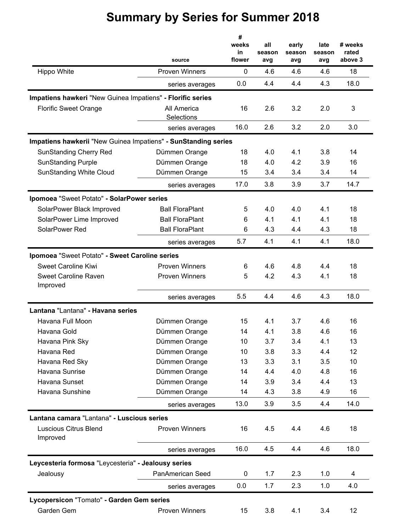|                                                                | source                    | #<br>weeks<br>in<br>flower | all<br>season<br>avg | early<br>season<br>avg | late<br>season<br>avg | # weeks<br>rated<br>above 3 |
|----------------------------------------------------------------|---------------------------|----------------------------|----------------------|------------------------|-----------------------|-----------------------------|
| Hippo White                                                    | <b>Proven Winners</b>     | $\mathbf 0$                | 4.6                  | 4.6                    | 4.6                   | 18                          |
|                                                                | series averages           | 0.0                        | 4.4                  | 4.4                    | 4.3                   | 18.0                        |
| Impatiens hawkeri "New Guinea Impatiens" - Florific series     |                           |                            |                      |                        |                       |                             |
| <b>Florific Sweet Orange</b>                                   | All America<br>Selections | 16                         | 2.6                  | 3.2                    | 2.0                   | 3                           |
|                                                                | series averages           | 16.0                       | 2.6                  | 3.2                    | 2.0                   | 3.0                         |
| Impatiens hawkerii "New Guinea Impatiens" - SunStanding series |                           |                            |                      |                        |                       |                             |
| <b>SunStanding Cherry Red</b>                                  | Dümmen Orange             | 18                         | 4.0                  | 4.1                    | 3.8                   | 14                          |
| <b>SunStanding Purple</b>                                      | Dümmen Orange             | 18                         | 4.0                  | 4.2                    | 3.9                   | 16                          |
| <b>SunStanding White Cloud</b>                                 | Dümmen Orange             | 15                         | 3.4                  | 3.4                    | 3.4                   | 14                          |
|                                                                | series averages           | 17.0                       | 3.8                  | 3.9                    | 3.7                   | 14.7                        |
| Ipomoea "Sweet Potato" - SolarPower series                     |                           |                            |                      |                        |                       |                             |
| SolarPower Black Improved                                      | <b>Ball FloraPlant</b>    | 5                          | 4.0                  | 4.0                    | 4.1                   | 18                          |
| SolarPower Lime Improved                                       | <b>Ball FloraPlant</b>    | 6                          | 4.1                  | 4.1                    | 4.1                   | 18                          |
| SolarPower Red                                                 | <b>Ball FloraPlant</b>    | 6                          | 4.3                  | 4.4                    | 4.3                   | 18                          |
|                                                                | series averages           | 5.7                        | 4.1                  | 4.1                    | 4.1                   | 18.0                        |
| Ipomoea "Sweet Potato" - Sweet Caroline series                 |                           |                            |                      |                        |                       |                             |
| <b>Sweet Caroline Kiwi</b>                                     | <b>Proven Winners</b>     | 6                          | 4.6                  | 4.8                    | 4.4                   | 18                          |
| <b>Sweet Caroline Raven</b><br>Improved                        | <b>Proven Winners</b>     | 5                          | 4.2                  | 4.3                    | 4.1                   | 18                          |
|                                                                | series averages           | 5.5                        | 4.4                  | 4.6                    | 4.3                   | 18.0                        |
| Lantana "Lantana" - Havana series                              |                           |                            |                      |                        |                       |                             |
| Havana Full Moon                                               | Dümmen Orange             | 15                         | 4.1                  | 3.7                    | 4.6                   | 16                          |
| Havana Gold                                                    | Dümmen Orange             | 14                         | 4.1                  | 3.8                    | 4.6                   | 16                          |
| Havana Pink Sky                                                | Dümmen Orange             | 10                         | 3.7                  | 3.4                    | 4.1                   | 13                          |
| Havana Red                                                     | Dümmen Orange             | 10                         | 3.8                  | 3.3                    | 4.4                   | 12                          |
| Havana Red Sky                                                 | Dümmen Orange             | 13                         | 3.3                  | 3.1                    | 3.5                   | 10                          |
| Havana Sunrise                                                 | Dümmen Orange             | 14                         | 4.4                  | 4.0                    | 4.8                   | 16                          |
| Havana Sunset                                                  | Dümmen Orange             | 14                         | 3.9                  | 3.4                    | 4.4                   | 13                          |
| Havana Sunshine                                                | Dümmen Orange             | 14                         | 4.3                  | 3.8                    | 4.9                   | 16                          |
|                                                                | series averages           | 13.0                       | 3.9                  | 3.5                    | 4.4                   | 14.0                        |
| Lantana camara "Lantana" - Luscious series                     |                           |                            |                      |                        |                       |                             |
| <b>Luscious Citrus Blend</b><br>Improved                       | <b>Proven Winners</b>     | 16                         | 4.5                  | 4.4                    | 4.6                   | 18                          |
|                                                                | series averages           | 16.0                       | 4.5                  | 4.4                    | 4.6                   | 18.0                        |
| Leycesteria formosa "Leycesteria" - Jealousy series            |                           |                            |                      |                        |                       |                             |
| Jealousy                                                       | PanAmerican Seed          | 0                          | 1.7                  | 2.3                    | 1.0                   | 4                           |
|                                                                | series averages           | 0.0                        | 1.7                  | 2.3                    | 1.0                   | 4.0                         |
| Lycopersicon "Tomato" - Garden Gem series                      |                           |                            |                      |                        |                       |                             |
| Garden Gem                                                     | <b>Proven Winners</b>     | 15                         | 3.8                  | 4.1                    | 3.4                   | 12                          |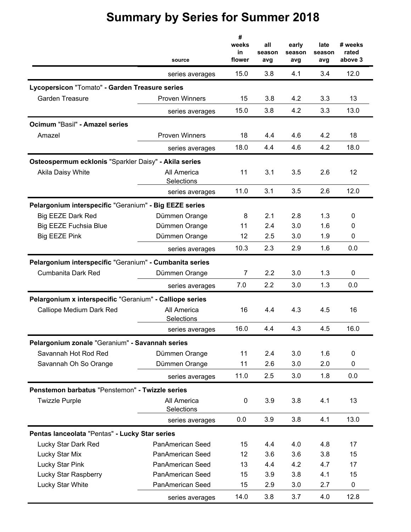|                                                          | source                    | #<br>weeks<br>in<br>flower | all<br>season<br>avg | early<br>season<br>avg | late<br>season<br>avg | # weeks<br>rated<br>above 3 |
|----------------------------------------------------------|---------------------------|----------------------------|----------------------|------------------------|-----------------------|-----------------------------|
|                                                          | series averages           | 15.0                       | 3.8                  | 4.1                    | 3.4                   | 12.0                        |
| Lycopersicon "Tomato" - Garden Treasure series           |                           |                            |                      |                        |                       |                             |
| <b>Garden Treasure</b>                                   | <b>Proven Winners</b>     | 15                         | 3.8                  | 4.2                    | 3.3                   | 13                          |
|                                                          | series averages           | 15.0                       | 3.8                  | 4.2                    | 3.3                   | 13.0                        |
| Ocimum "Basil" - Amazel series                           |                           |                            |                      |                        |                       |                             |
| Amazel                                                   | <b>Proven Winners</b>     | 18                         | 4.4                  | 4.6                    | 4.2                   | 18                          |
|                                                          | series averages           | 18.0                       | 4.4                  | 4.6                    | 4.2                   | 18.0                        |
| Osteospermum ecklonis "Sparkler Daisy" - Akila series    |                           |                            |                      |                        |                       |                             |
| Akila Daisy White                                        | All America               | 11                         | 3.1                  | 3.5                    | 2.6                   | 12                          |
|                                                          | Selections                |                            |                      |                        |                       |                             |
|                                                          | series averages           | 11.0                       | 3.1                  | 3.5                    | 2.6                   | 12.0                        |
| Pelargonium interspecific "Geranium" - Big EEZE series   |                           |                            |                      |                        |                       |                             |
| <b>Big EEZE Dark Red</b>                                 | Dümmen Orange             | 8                          | 2.1                  | 2.8                    | 1.3                   | 0                           |
| <b>Big EEZE Fuchsia Blue</b>                             | Dümmen Orange             | 11                         | 2.4                  | 3.0                    | 1.6                   | 0                           |
| <b>Big EEZE Pink</b>                                     | Dümmen Orange             | 12                         | 2.5                  | 3.0                    | 1.9                   | 0                           |
|                                                          | series averages           | 10.3                       | 2.3                  | 2.9                    | 1.6                   | 0.0                         |
| Pelargonium interspecific "Geranium" - Cumbanita series  |                           |                            |                      |                        |                       |                             |
| <b>Cumbanita Dark Red</b>                                | Dümmen Orange             | $\overline{7}$             | 2.2                  | 3.0                    | 1.3                   | $\mathbf 0$                 |
|                                                          | series averages           | 7.0                        | 2.2                  | 3.0                    | 1.3                   | 0.0                         |
| Pelargonium x interspecific "Geranium" - Calliope series |                           |                            |                      |                        |                       |                             |
| Calliope Medium Dark Red                                 | All America<br>Selections | 16                         | 4.4                  | 4.3                    | 4.5                   | 16                          |
|                                                          | series averages           | 16.0                       | 4.4                  | 4.3                    | 4.5                   | 16.0                        |
| Pelargonium zonale "Geranium" - Savannah series          |                           |                            |                      |                        |                       |                             |
| Savannah Hot Rod Red                                     | Dümmen Orange             | 11                         | 2.4                  | 3.0                    | 1.6                   | $\pmb{0}$                   |
| Savannah Oh So Orange                                    | Dümmen Orange             | 11                         | 2.6                  | 3.0                    | 2.0                   | 0                           |
|                                                          | series averages           | 11.0                       | 2.5                  | 3.0                    | 1.8                   | 0.0                         |
| Penstemon barbatus "Penstemon" - Twizzle series          |                           |                            |                      |                        |                       |                             |
| <b>Twizzle Purple</b>                                    | All America<br>Selections | 0                          | 3.9                  | 3.8                    | 4.1                   | 13                          |
|                                                          | series averages           | 0.0                        | 3.9                  | 3.8                    | 4.1                   | 13.0                        |
| Pentas lanceolata "Pentas" - Lucky Star series           |                           |                            |                      |                        |                       |                             |
| Lucky Star Dark Red                                      | PanAmerican Seed          | 15                         | 4.4                  | 4.0                    | 4.8                   | 17                          |
| Lucky Star Mix                                           | PanAmerican Seed          | 12                         | 3.6                  | 3.6                    | 3.8                   | 15                          |
| Lucky Star Pink                                          | PanAmerican Seed          | 13                         | 4.4                  | 4.2                    | 4.7                   | 17                          |
| Lucky Star Raspberry                                     | PanAmerican Seed          | 15                         | 3.9                  | 3.8                    | 4.1                   | 15                          |
| Lucky Star White                                         | PanAmerican Seed          | 15                         | 2.9                  | 3.0                    | 2.7                   | 0                           |
|                                                          | series averages           | 14.0                       | 3.8                  | 3.7                    | 4.0                   | 12.8                        |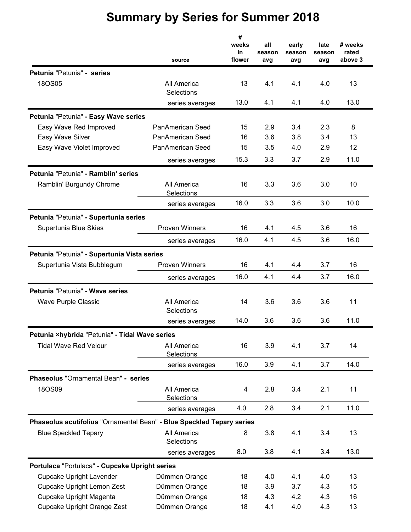|                                                                       | source                    | #<br>weeks<br>in<br>flower | all<br>season<br>avg | early<br>season<br>avg | late<br>season<br>avg | # weeks<br>rated<br>above 3 |
|-----------------------------------------------------------------------|---------------------------|----------------------------|----------------------|------------------------|-----------------------|-----------------------------|
| Petunia "Petunia" - series                                            |                           |                            |                      |                        |                       |                             |
| 180S05                                                                | All America<br>Selections | 13                         | 4.1                  | 4.1                    | 4.0                   | 13                          |
|                                                                       | series averages           | 13.0                       | 4.1                  | 4.1                    | 4.0                   | 13.0                        |
| Petunia "Petunia" - Easy Wave series                                  |                           |                            |                      |                        |                       |                             |
| Easy Wave Red Improved                                                | PanAmerican Seed          | 15                         | 2.9                  | 3.4                    | 2.3                   | 8                           |
| Easy Wave Silver                                                      | PanAmerican Seed          | 16                         | 3.6                  | 3.8                    | 3.4                   | 13                          |
| Easy Wave Violet Improved                                             | PanAmerican Seed          | 15                         | 3.5                  | 4.0                    | 2.9                   | 12                          |
|                                                                       | series averages           | 15.3                       | 3.3                  | 3.7                    | 2.9                   | 11.0                        |
| Petunia "Petunia" - Ramblin' series                                   |                           |                            |                      |                        |                       |                             |
| Ramblin' Burgundy Chrome                                              | All America<br>Selections | 16                         | 3.3                  | 3.6                    | 3.0                   | 10                          |
|                                                                       | series averages           | 16.0                       | 3.3                  | 3.6                    | 3.0                   | 10.0                        |
| Petunia "Petunia" - Supertunia series                                 |                           |                            |                      |                        |                       |                             |
| Supertunia Blue Skies                                                 | <b>Proven Winners</b>     | 16                         | 4.1                  | 4.5                    | 3.6                   | 16                          |
|                                                                       | series averages           | 16.0                       | 4.1                  | 4.5                    | 3.6                   | 16.0                        |
| Petunia "Petunia" - Supertunia Vista series                           |                           |                            |                      |                        |                       |                             |
| Supertunia Vista Bubblegum                                            | <b>Proven Winners</b>     | 16                         | 4.1                  | 4.4                    | 3.7                   | 16                          |
|                                                                       | series averages           | 16.0                       | 4.1                  | 4.4                    | 3.7                   | 16.0                        |
| Petunia "Petunia" - Wave series                                       |                           |                            |                      |                        |                       |                             |
| Wave Purple Classic                                                   | All America<br>Selections | 14                         | 3.6                  | 3.6                    | 3.6                   | 11                          |
|                                                                       | series averages           | 14.0                       | 3.6                  | 3.6                    | 3.6                   | 11.0                        |
| Petunia ×hybrida "Petunia" - Tidal Wave series                        |                           |                            |                      |                        |                       |                             |
| <b>Tidal Wave Red Velour</b>                                          | All America<br>Selections | 16                         | 3.9                  | 4.1                    | 3.7                   | 14                          |
|                                                                       | series averages           | 16.0                       | 3.9                  | 4.1                    | 3.7                   | 14.0                        |
| Phaseolus "Ornamental Bean" - series                                  |                           |                            |                      |                        |                       |                             |
| 18OS09                                                                | All America<br>Selections | 4                          | 2.8                  | 3.4                    | 2.1                   | 11                          |
|                                                                       | series averages           | 4.0                        | 2.8                  | 3.4                    | 2.1                   | 11.0                        |
| Phaseolus acutifolius "Ornamental Bean" - Blue Speckled Tepary series |                           |                            |                      |                        |                       |                             |
| <b>Blue Speckled Tepary</b>                                           | All America<br>Selections | 8                          | 3.8                  | 4.1                    | 3.4                   | 13                          |
|                                                                       | series averages           | 8.0                        | 3.8                  | 4.1                    | 3.4                   | 13.0                        |
| Portulaca "Portulaca" - Cupcake Upright series                        |                           |                            |                      |                        |                       |                             |
| <b>Cupcake Upright Lavender</b>                                       | Dümmen Orange             | 18                         | 4.0                  | 4.1                    | 4.0                   | 13                          |
| Cupcake Upright Lemon Zest                                            | Dümmen Orange             | 18                         | 3.9                  | 3.7                    | 4.3                   | 15                          |
| Cupcake Upright Magenta                                               | Dümmen Orange             | 18                         | 4.3                  | 4.2                    | 4.3                   | 16                          |
| Cupcake Upright Orange Zest                                           | Dümmen Orange             | 18                         | 4.1                  | 4.0                    | 4.3                   | 13                          |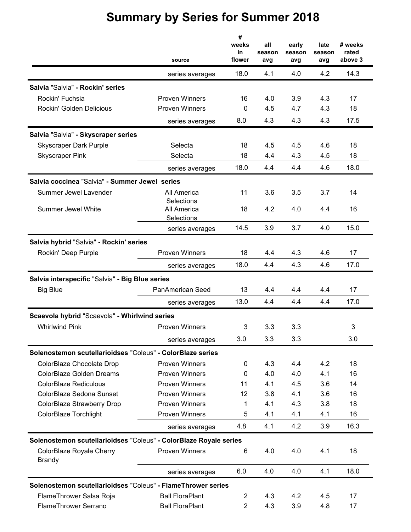| 18.0<br>4.1<br>4.0<br>4.2<br>series averages<br>Salvia "Salvia" - Rockin' series<br>Rockin' Fuchsia<br>3.9<br><b>Proven Winners</b><br>16<br>4.0<br>4.3<br>Rockin' Golden Delicious<br><b>Proven Winners</b><br>0<br>4.5<br>4.7<br>4.3<br>8.0<br>4.3<br>4.3<br>4.3<br>series averages<br>Salvia "Salvia" - Skyscraper series<br><b>Skyscraper Dark Purple</b><br>Selecta<br>18<br>4.5<br>4.5<br>4.6<br>18<br>4.3<br>4.5<br><b>Skyscraper Pink</b><br>Selecta<br>4.4<br>4.6<br>18.0<br>4.4<br>4.4<br>series averages<br>Salvia coccinea "Salvia" - Summer Jewel series<br>11<br>3.6<br>3.5<br>Summer Jewel Lavender<br>All America<br>3.7<br>Selections<br><b>Summer Jewel White</b><br>All America<br>18<br>4.2<br>4.0<br>4.4<br>Selections<br>14.5<br>3.7<br>3.9<br>4.0<br>series averages<br>Salvia hybrid "Salvia" - Rockin' series<br><b>Proven Winners</b><br>18<br>4.3<br>Rockin' Deep Purple<br>4.4<br>4.6<br>18.0<br>4.4<br>4.3<br>4.6<br>series averages<br>Salvia interspecific "Salvia" - Big Blue series<br><b>Big Blue</b><br>PanAmerican Seed<br>13<br>4.4<br>4.4<br>4.4<br>13.0<br>4.4<br>4.4<br>4.4<br>series averages<br>Scaevola hybrid "Scaevola" - Whirlwind series<br><b>Whirlwind Pink</b><br><b>Proven Winners</b><br>3.3<br>3<br>3.3<br>3.0<br>3.3<br>3.3<br>series averages<br>Solenostemon scutellarioidses "Coleus" - ColorBlaze series<br>ColorBlaze Chocolate Drop<br><b>Proven Winners</b><br>4.3<br>4.4<br>4.2<br>0<br>ColorBlaze Golden Dreams<br><b>Proven Winners</b><br>4.0<br>4.0<br>4.1<br>0<br><b>ColorBlaze Rediculous</b><br><b>Proven Winners</b><br>4.1<br>4.5<br>11<br>3.6<br>ColorBlaze Sedona Sunset<br><b>Proven Winners</b><br>12<br>3.8<br>4.1<br>3.6<br>ColorBlaze Strawberry Drop<br><b>Proven Winners</b><br>4.1<br>4.3<br>3.8<br>1<br>ColorBlaze Torchlight<br><b>Proven Winners</b><br>5<br>4.1<br>4.1<br>4.1<br>4.8<br>4.1<br>4.2<br>3.9<br>series averages<br>Solenostemon scutellarioidses "Coleus" - ColorBlaze Royale series<br><b>Proven Winners</b><br>4.0<br>4.1<br>ColorBlaze Royale Cherry<br>6<br>4.0<br><b>Brandy</b><br>4.0<br>6.0<br>4.0<br>4.1<br>series averages | # weeks<br>rated<br>above 3 |
|---------------------------------------------------------------------------------------------------------------------------------------------------------------------------------------------------------------------------------------------------------------------------------------------------------------------------------------------------------------------------------------------------------------------------------------------------------------------------------------------------------------------------------------------------------------------------------------------------------------------------------------------------------------------------------------------------------------------------------------------------------------------------------------------------------------------------------------------------------------------------------------------------------------------------------------------------------------------------------------------------------------------------------------------------------------------------------------------------------------------------------------------------------------------------------------------------------------------------------------------------------------------------------------------------------------------------------------------------------------------------------------------------------------------------------------------------------------------------------------------------------------------------------------------------------------------------------------------------------------------------------------------------------------------------------------------------------------------------------------------------------------------------------------------------------------------------------------------------------------------------------------------------------------------------------------------------------------------------------------------------------------------------------------------------------------------------------------------------------------------------------------|-----------------------------|
|                                                                                                                                                                                                                                                                                                                                                                                                                                                                                                                                                                                                                                                                                                                                                                                                                                                                                                                                                                                                                                                                                                                                                                                                                                                                                                                                                                                                                                                                                                                                                                                                                                                                                                                                                                                                                                                                                                                                                                                                                                                                                                                                       | 14.3                        |
|                                                                                                                                                                                                                                                                                                                                                                                                                                                                                                                                                                                                                                                                                                                                                                                                                                                                                                                                                                                                                                                                                                                                                                                                                                                                                                                                                                                                                                                                                                                                                                                                                                                                                                                                                                                                                                                                                                                                                                                                                                                                                                                                       |                             |
|                                                                                                                                                                                                                                                                                                                                                                                                                                                                                                                                                                                                                                                                                                                                                                                                                                                                                                                                                                                                                                                                                                                                                                                                                                                                                                                                                                                                                                                                                                                                                                                                                                                                                                                                                                                                                                                                                                                                                                                                                                                                                                                                       | 17                          |
|                                                                                                                                                                                                                                                                                                                                                                                                                                                                                                                                                                                                                                                                                                                                                                                                                                                                                                                                                                                                                                                                                                                                                                                                                                                                                                                                                                                                                                                                                                                                                                                                                                                                                                                                                                                                                                                                                                                                                                                                                                                                                                                                       | 18                          |
|                                                                                                                                                                                                                                                                                                                                                                                                                                                                                                                                                                                                                                                                                                                                                                                                                                                                                                                                                                                                                                                                                                                                                                                                                                                                                                                                                                                                                                                                                                                                                                                                                                                                                                                                                                                                                                                                                                                                                                                                                                                                                                                                       | 17.5                        |
|                                                                                                                                                                                                                                                                                                                                                                                                                                                                                                                                                                                                                                                                                                                                                                                                                                                                                                                                                                                                                                                                                                                                                                                                                                                                                                                                                                                                                                                                                                                                                                                                                                                                                                                                                                                                                                                                                                                                                                                                                                                                                                                                       |                             |
|                                                                                                                                                                                                                                                                                                                                                                                                                                                                                                                                                                                                                                                                                                                                                                                                                                                                                                                                                                                                                                                                                                                                                                                                                                                                                                                                                                                                                                                                                                                                                                                                                                                                                                                                                                                                                                                                                                                                                                                                                                                                                                                                       | 18                          |
|                                                                                                                                                                                                                                                                                                                                                                                                                                                                                                                                                                                                                                                                                                                                                                                                                                                                                                                                                                                                                                                                                                                                                                                                                                                                                                                                                                                                                                                                                                                                                                                                                                                                                                                                                                                                                                                                                                                                                                                                                                                                                                                                       | 18                          |
|                                                                                                                                                                                                                                                                                                                                                                                                                                                                                                                                                                                                                                                                                                                                                                                                                                                                                                                                                                                                                                                                                                                                                                                                                                                                                                                                                                                                                                                                                                                                                                                                                                                                                                                                                                                                                                                                                                                                                                                                                                                                                                                                       | 18.0                        |
|                                                                                                                                                                                                                                                                                                                                                                                                                                                                                                                                                                                                                                                                                                                                                                                                                                                                                                                                                                                                                                                                                                                                                                                                                                                                                                                                                                                                                                                                                                                                                                                                                                                                                                                                                                                                                                                                                                                                                                                                                                                                                                                                       |                             |
|                                                                                                                                                                                                                                                                                                                                                                                                                                                                                                                                                                                                                                                                                                                                                                                                                                                                                                                                                                                                                                                                                                                                                                                                                                                                                                                                                                                                                                                                                                                                                                                                                                                                                                                                                                                                                                                                                                                                                                                                                                                                                                                                       | 14                          |
|                                                                                                                                                                                                                                                                                                                                                                                                                                                                                                                                                                                                                                                                                                                                                                                                                                                                                                                                                                                                                                                                                                                                                                                                                                                                                                                                                                                                                                                                                                                                                                                                                                                                                                                                                                                                                                                                                                                                                                                                                                                                                                                                       |                             |
|                                                                                                                                                                                                                                                                                                                                                                                                                                                                                                                                                                                                                                                                                                                                                                                                                                                                                                                                                                                                                                                                                                                                                                                                                                                                                                                                                                                                                                                                                                                                                                                                                                                                                                                                                                                                                                                                                                                                                                                                                                                                                                                                       | 16                          |
|                                                                                                                                                                                                                                                                                                                                                                                                                                                                                                                                                                                                                                                                                                                                                                                                                                                                                                                                                                                                                                                                                                                                                                                                                                                                                                                                                                                                                                                                                                                                                                                                                                                                                                                                                                                                                                                                                                                                                                                                                                                                                                                                       | 15.0                        |
|                                                                                                                                                                                                                                                                                                                                                                                                                                                                                                                                                                                                                                                                                                                                                                                                                                                                                                                                                                                                                                                                                                                                                                                                                                                                                                                                                                                                                                                                                                                                                                                                                                                                                                                                                                                                                                                                                                                                                                                                                                                                                                                                       |                             |
|                                                                                                                                                                                                                                                                                                                                                                                                                                                                                                                                                                                                                                                                                                                                                                                                                                                                                                                                                                                                                                                                                                                                                                                                                                                                                                                                                                                                                                                                                                                                                                                                                                                                                                                                                                                                                                                                                                                                                                                                                                                                                                                                       | 17                          |
|                                                                                                                                                                                                                                                                                                                                                                                                                                                                                                                                                                                                                                                                                                                                                                                                                                                                                                                                                                                                                                                                                                                                                                                                                                                                                                                                                                                                                                                                                                                                                                                                                                                                                                                                                                                                                                                                                                                                                                                                                                                                                                                                       | 17.0                        |
|                                                                                                                                                                                                                                                                                                                                                                                                                                                                                                                                                                                                                                                                                                                                                                                                                                                                                                                                                                                                                                                                                                                                                                                                                                                                                                                                                                                                                                                                                                                                                                                                                                                                                                                                                                                                                                                                                                                                                                                                                                                                                                                                       |                             |
|                                                                                                                                                                                                                                                                                                                                                                                                                                                                                                                                                                                                                                                                                                                                                                                                                                                                                                                                                                                                                                                                                                                                                                                                                                                                                                                                                                                                                                                                                                                                                                                                                                                                                                                                                                                                                                                                                                                                                                                                                                                                                                                                       | 17                          |
|                                                                                                                                                                                                                                                                                                                                                                                                                                                                                                                                                                                                                                                                                                                                                                                                                                                                                                                                                                                                                                                                                                                                                                                                                                                                                                                                                                                                                                                                                                                                                                                                                                                                                                                                                                                                                                                                                                                                                                                                                                                                                                                                       | 17.0                        |
|                                                                                                                                                                                                                                                                                                                                                                                                                                                                                                                                                                                                                                                                                                                                                                                                                                                                                                                                                                                                                                                                                                                                                                                                                                                                                                                                                                                                                                                                                                                                                                                                                                                                                                                                                                                                                                                                                                                                                                                                                                                                                                                                       |                             |
|                                                                                                                                                                                                                                                                                                                                                                                                                                                                                                                                                                                                                                                                                                                                                                                                                                                                                                                                                                                                                                                                                                                                                                                                                                                                                                                                                                                                                                                                                                                                                                                                                                                                                                                                                                                                                                                                                                                                                                                                                                                                                                                                       | 3                           |
|                                                                                                                                                                                                                                                                                                                                                                                                                                                                                                                                                                                                                                                                                                                                                                                                                                                                                                                                                                                                                                                                                                                                                                                                                                                                                                                                                                                                                                                                                                                                                                                                                                                                                                                                                                                                                                                                                                                                                                                                                                                                                                                                       | 3.0                         |
|                                                                                                                                                                                                                                                                                                                                                                                                                                                                                                                                                                                                                                                                                                                                                                                                                                                                                                                                                                                                                                                                                                                                                                                                                                                                                                                                                                                                                                                                                                                                                                                                                                                                                                                                                                                                                                                                                                                                                                                                                                                                                                                                       |                             |
|                                                                                                                                                                                                                                                                                                                                                                                                                                                                                                                                                                                                                                                                                                                                                                                                                                                                                                                                                                                                                                                                                                                                                                                                                                                                                                                                                                                                                                                                                                                                                                                                                                                                                                                                                                                                                                                                                                                                                                                                                                                                                                                                       | 18                          |
|                                                                                                                                                                                                                                                                                                                                                                                                                                                                                                                                                                                                                                                                                                                                                                                                                                                                                                                                                                                                                                                                                                                                                                                                                                                                                                                                                                                                                                                                                                                                                                                                                                                                                                                                                                                                                                                                                                                                                                                                                                                                                                                                       | 16                          |
|                                                                                                                                                                                                                                                                                                                                                                                                                                                                                                                                                                                                                                                                                                                                                                                                                                                                                                                                                                                                                                                                                                                                                                                                                                                                                                                                                                                                                                                                                                                                                                                                                                                                                                                                                                                                                                                                                                                                                                                                                                                                                                                                       | 14                          |
|                                                                                                                                                                                                                                                                                                                                                                                                                                                                                                                                                                                                                                                                                                                                                                                                                                                                                                                                                                                                                                                                                                                                                                                                                                                                                                                                                                                                                                                                                                                                                                                                                                                                                                                                                                                                                                                                                                                                                                                                                                                                                                                                       | 16                          |
|                                                                                                                                                                                                                                                                                                                                                                                                                                                                                                                                                                                                                                                                                                                                                                                                                                                                                                                                                                                                                                                                                                                                                                                                                                                                                                                                                                                                                                                                                                                                                                                                                                                                                                                                                                                                                                                                                                                                                                                                                                                                                                                                       | 18                          |
|                                                                                                                                                                                                                                                                                                                                                                                                                                                                                                                                                                                                                                                                                                                                                                                                                                                                                                                                                                                                                                                                                                                                                                                                                                                                                                                                                                                                                                                                                                                                                                                                                                                                                                                                                                                                                                                                                                                                                                                                                                                                                                                                       | 16                          |
|                                                                                                                                                                                                                                                                                                                                                                                                                                                                                                                                                                                                                                                                                                                                                                                                                                                                                                                                                                                                                                                                                                                                                                                                                                                                                                                                                                                                                                                                                                                                                                                                                                                                                                                                                                                                                                                                                                                                                                                                                                                                                                                                       | 16.3                        |
|                                                                                                                                                                                                                                                                                                                                                                                                                                                                                                                                                                                                                                                                                                                                                                                                                                                                                                                                                                                                                                                                                                                                                                                                                                                                                                                                                                                                                                                                                                                                                                                                                                                                                                                                                                                                                                                                                                                                                                                                                                                                                                                                       |                             |
|                                                                                                                                                                                                                                                                                                                                                                                                                                                                                                                                                                                                                                                                                                                                                                                                                                                                                                                                                                                                                                                                                                                                                                                                                                                                                                                                                                                                                                                                                                                                                                                                                                                                                                                                                                                                                                                                                                                                                                                                                                                                                                                                       | 18                          |
|                                                                                                                                                                                                                                                                                                                                                                                                                                                                                                                                                                                                                                                                                                                                                                                                                                                                                                                                                                                                                                                                                                                                                                                                                                                                                                                                                                                                                                                                                                                                                                                                                                                                                                                                                                                                                                                                                                                                                                                                                                                                                                                                       | 18.0                        |
| Solenostemon scutellarioidses "Coleus" - FlameThrower series                                                                                                                                                                                                                                                                                                                                                                                                                                                                                                                                                                                                                                                                                                                                                                                                                                                                                                                                                                                                                                                                                                                                                                                                                                                                                                                                                                                                                                                                                                                                                                                                                                                                                                                                                                                                                                                                                                                                                                                                                                                                          |                             |
| <b>Ball FloraPlant</b><br>FlameThrower Salsa Roja<br>$\overline{c}$<br>4.3<br>4.2<br>4.5                                                                                                                                                                                                                                                                                                                                                                                                                                                                                                                                                                                                                                                                                                                                                                                                                                                                                                                                                                                                                                                                                                                                                                                                                                                                                                                                                                                                                                                                                                                                                                                                                                                                                                                                                                                                                                                                                                                                                                                                                                              | 17                          |
| FlameThrower Serrano<br><b>Ball FloraPlant</b><br>$\overline{2}$<br>4.3<br>3.9<br>4.8                                                                                                                                                                                                                                                                                                                                                                                                                                                                                                                                                                                                                                                                                                                                                                                                                                                                                                                                                                                                                                                                                                                                                                                                                                                                                                                                                                                                                                                                                                                                                                                                                                                                                                                                                                                                                                                                                                                                                                                                                                                 | 17                          |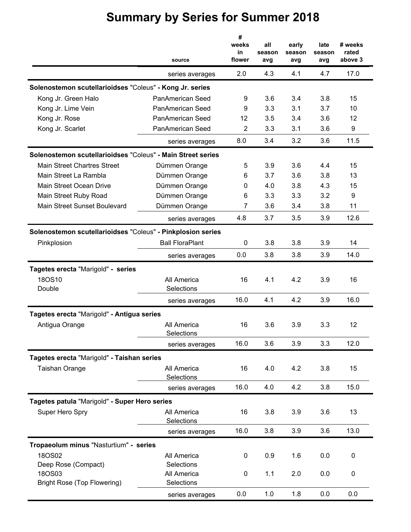|                                                             | source                    | #<br>weeks<br>in<br>flower | all<br>season<br>avg | early<br>season<br>avg | late<br>season<br>avg | # weeks<br>rated<br>above 3 |
|-------------------------------------------------------------|---------------------------|----------------------------|----------------------|------------------------|-----------------------|-----------------------------|
|                                                             | series averages           | 2.0                        | 4.3                  | 4.1                    | 4.7                   | 17.0                        |
| Solenostemon scutellarioidses "Coleus" - Kong Jr. series    |                           |                            |                      |                        |                       |                             |
| Kong Jr. Green Halo                                         | PanAmerican Seed          | 9                          | 3.6                  | 3.4                    | 3.8                   | 15                          |
| Kong Jr. Lime Vein                                          | PanAmerican Seed          | 9                          | 3.3                  | 3.1                    | 3.7                   | 10                          |
| Kong Jr. Rose                                               | PanAmerican Seed          | 12                         | 3.5                  | 3.4                    | 3.6                   | 12                          |
| Kong Jr. Scarlet                                            | PanAmerican Seed          | 2                          | 3.3                  | 3.1                    | 3.6                   | 9                           |
|                                                             | series averages           | 8.0                        | 3.4                  | 3.2                    | 3.6                   | 11.5                        |
| Solenostemon scutellarioidses "Coleus" - Main Street series |                           |                            |                      |                        |                       |                             |
| <b>Main Street Chartres Street</b>                          | Dümmen Orange             | 5                          | 3.9                  | 3.6                    | 4.4                   | 15                          |
| Main Street La Rambla                                       | Dümmen Orange             | 6                          | 3.7                  | 3.6                    | 3.8                   | 13                          |
| Main Street Ocean Drive                                     | Dümmen Orange             | 0                          | 4.0                  | 3.8                    | 4.3                   | 15                          |
| Main Street Ruby Road                                       | Dümmen Orange             | 6                          | 3.3                  | 3.3                    | 3.2                   | 9                           |
| Main Street Sunset Boulevard                                | Dümmen Orange             | 7                          | 3.6                  | 3.4                    | 3.8                   | 11                          |
|                                                             | series averages           | 4.8                        | 3.7                  | 3.5                    | 3.9                   | 12.6                        |
| Solenostemon scutellarioidses "Coleus" - Pinkplosion series |                           |                            |                      |                        |                       |                             |
| Pinkplosion                                                 | <b>Ball FloraPlant</b>    | 0                          | 3.8                  | 3.8                    | 3.9                   | 14                          |
|                                                             | series averages           | 0.0                        | 3.8                  | 3.8                    | 3.9                   | 14.0                        |
| Tagetes erecta "Marigold" - series                          |                           |                            |                      |                        |                       |                             |
| 18OS10                                                      | All America               | 16                         | 4.1                  | 4.2                    | 3.9                   | 16                          |
| Double                                                      | Selections                |                            |                      |                        |                       |                             |
|                                                             | series averages           | 16.0                       | 4.1                  | 4.2                    | 3.9                   | 16.0                        |
| Tagetes erecta "Marigold" - Antigua series                  |                           |                            |                      |                        |                       |                             |
| Antigua Orange                                              | All America<br>Selections | 16                         | 3.6                  | 3.9                    | 3.3                   | 12                          |
|                                                             | series averages           | 16.0                       | 3.6                  | 3.9                    | 3.3                   | 12.0                        |
| Tagetes erecta "Marigold" - Taishan series                  |                           |                            |                      |                        |                       |                             |
| <b>Taishan Orange</b>                                       | All America<br>Selections | 16                         | 4.0                  | 4.2                    | 3.8                   | 15                          |
|                                                             | series averages           | 16.0                       | 4.0                  | 4.2                    | 3.8                   | 15.0                        |
| Tagetes patula "Marigold" - Super Hero series               |                           |                            |                      |                        |                       |                             |
| Super Hero Spry                                             | All America<br>Selections | 16                         | 3.8                  | 3.9                    | 3.6                   | 13                          |
|                                                             | series averages           | 16.0                       | 3.8                  | 3.9                    | 3.6                   | 13.0                        |
| Tropaeolum minus "Nasturtium" - series                      |                           |                            |                      |                        |                       |                             |
| 18OS02                                                      | All America               | 0                          | 0.9                  | 1.6                    | 0.0                   | 0                           |
| Deep Rose (Compact)                                         | Selections                |                            |                      |                        |                       |                             |
| 18OS03<br><b>Bright Rose (Top Flowering)</b>                | All America<br>Selections | 0                          | 1.1                  | 2.0                    | 0.0                   | 0                           |
|                                                             | series averages           | 0.0                        | 1.0                  | 1.8                    | 0.0                   | 0.0                         |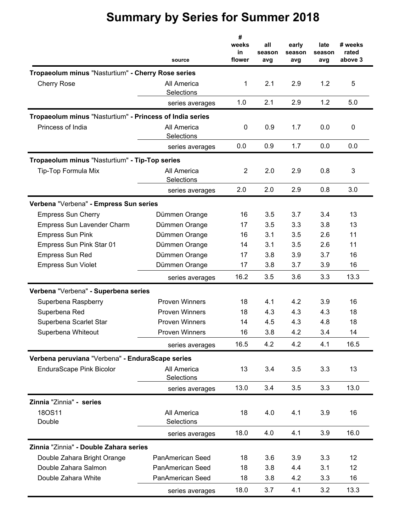|                                                          | source                    | #<br>weeks<br>in<br>flower | all<br>season<br>avg | early<br>season<br>avg | late<br>season<br>avg | # weeks<br>rated<br>above 3 |
|----------------------------------------------------------|---------------------------|----------------------------|----------------------|------------------------|-----------------------|-----------------------------|
| Tropaeolum minus "Nasturtium" - Cherry Rose series       |                           |                            |                      |                        |                       |                             |
| <b>Cherry Rose</b>                                       | All America<br>Selections | 1                          | 2.1                  | 2.9                    | 1.2                   | 5                           |
|                                                          | series averages           | 1.0                        | 2.1                  | 2.9                    | 1.2                   | 5.0                         |
| Tropaeolum minus "Nasturtium" - Princess of India series |                           |                            |                      |                        |                       |                             |
| Princess of India                                        | All America<br>Selections | 0                          | 0.9                  | 1.7                    | 0.0                   | 0                           |
|                                                          | series averages           | 0.0                        | 0.9                  | 1.7                    | 0.0                   | 0.0                         |
| Tropaeolum minus "Nasturtium" - Tip-Top series           |                           |                            |                      |                        |                       |                             |
| Tip-Top Formula Mix                                      | All America<br>Selections | $\overline{2}$             | 2.0                  | 2.9                    | 0.8                   | 3                           |
|                                                          | series averages           | 2.0                        | 2.0                  | 2.9                    | 0.8                   | 3.0                         |
| Verbena "Verbena" - Empress Sun series                   |                           |                            |                      |                        |                       |                             |
| <b>Empress Sun Cherry</b>                                | Dümmen Orange             | 16                         | 3.5                  | 3.7                    | 3.4                   | 13                          |
| <b>Empress Sun Lavender Charm</b>                        | Dümmen Orange             | 17                         | 3.5                  | 3.3                    | 3.8                   | 13                          |
| <b>Empress Sun Pink</b>                                  | Dümmen Orange             | 16                         | 3.1                  | 3.5                    | 2.6                   | 11                          |
| Empress Sun Pink Star 01                                 | Dümmen Orange             | 14                         | 3.1                  | 3.5                    | 2.6                   | 11                          |
| <b>Empress Sun Red</b>                                   | Dümmen Orange             | 17                         | 3.8                  | 3.9                    | 3.7                   | 16                          |
| <b>Empress Sun Violet</b>                                | Dümmen Orange             | 17                         | 3.8                  | 3.7                    | 3.9                   | 16                          |
|                                                          | series averages           | 16.2                       | 3.5                  | 3.6                    | 3.3                   | 13.3                        |
| Verbena "Verbena" - Superbena series                     |                           |                            |                      |                        |                       |                             |
| Superbena Raspberry                                      | <b>Proven Winners</b>     | 18                         | 4.1                  | 4.2                    | 3.9                   | 16                          |
| Superbena Red                                            | <b>Proven Winners</b>     | 18                         | 4.3                  | 4.3                    | 4.3                   | 18                          |
| Superbena Scarlet Star                                   | <b>Proven Winners</b>     | 14                         | 4.5                  | 4.3                    | 4.8                   | 18                          |
| Superbena Whiteout                                       | <b>Proven Winners</b>     | 16                         | 3.8                  | 4.2                    | 3.4                   | 14                          |
|                                                          | series averages           | 16.5                       | 4.2                  | 4.2                    | 4.1                   | 16.5                        |
| Verbena peruviana "Verbena" - EnduraScape series         |                           |                            |                      |                        |                       |                             |
| <b>EnduraScape Pink Bicolor</b>                          | All America<br>Selections | 13                         | 3.4                  | 3.5                    | 3.3                   | 13                          |
|                                                          | series averages           | 13.0                       | 3.4                  | 3.5                    | 3.3                   | 13.0                        |
| Zinnia "Zinnia" - series                                 |                           |                            |                      |                        |                       |                             |
| 18OS11                                                   | All America               | 18                         | 4.0                  | 4.1                    | 3.9                   | 16                          |
| Double                                                   | Selections                |                            |                      |                        |                       |                             |
|                                                          | series averages           | 18.0                       | 4.0                  | 4.1                    | 3.9                   | 16.0                        |
| Zinnia "Zinnia" - Double Zahara series                   |                           |                            |                      |                        |                       |                             |
| Double Zahara Bright Orange                              | PanAmerican Seed          | 18                         | 3.6                  | 3.9                    | 3.3                   | 12                          |
| Double Zahara Salmon                                     | PanAmerican Seed          | 18                         | 3.8                  | 4.4                    | 3.1                   | 12                          |
| Double Zahara White                                      | PanAmerican Seed          | 18                         | 3.8                  | 4.2                    | 3.3                   | 16                          |
|                                                          | series averages           | 18.0                       | 3.7                  | 4.1                    | 3.2                   | 13.3                        |